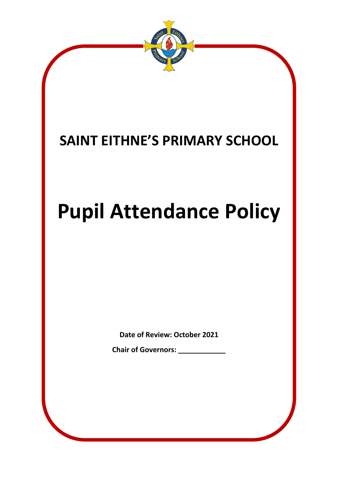

# **SAINT EITHNE'S PRIMARY SCHOOL**

# **Pupil Attendance Policy**

**Date of Review: October 2021**

**Chair of Governors: \_\_\_\_\_\_\_\_\_\_\_\_**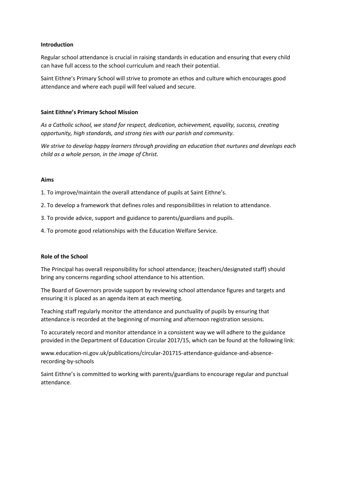#### **Introduction**

Regular school attendance is crucial in raising standards in education and ensuring that every child can have full access to the school curriculum and reach their potential.

Saint Eithne's Primary School will strive to promote an ethos and culture which encourages good attendance and where each pupil will feel valued and secure.

#### **Saint Eithne's Primary School Mission**

*As a Catholic school, we stand for respect, dedication, achievement, equality, success, creating opportunity, high standards, and strong ties with our parish and community.* 

*We strive to develop happy learners through providing an education that nurtures and develops each child as a whole person, in the image of Christ.* 

#### **Aims**

1. To improve/maintain the overall attendance of pupils at Saint Eithne's.

- 2. To develop a framework that defines roles and responsibilities in relation to attendance.
- 3. To provide advice, support and guidance to parents/guardians and pupils.
- 4. To promote good relationships with the Education Welfare Service.

#### **Role of the School**

The Principal has overall responsibility for school attendance; (teachers/designated staff) should bring any concerns regarding school attendance to his attention.

The Board of Governors provide support by reviewing school attendance figures and targets and ensuring it is placed as an agenda item at each meeting.

Teaching staff regularly monitor the attendance and punctuality of pupils by ensuring that attendance is recorded at the beginning of morning and afternoon registration sessions.

To accurately record and monitor attendance in a consistent way we will adhere to the guidance provided in the Department of Education Circular 2017/15, which can be found at the following link:

www.education-ni.gov.uk/publications/circular-201715-attendance-guidance-and-absencerecording-by-schools

Saint Eithne's is committed to working with parents/guardians to encourage regular and punctual attendance.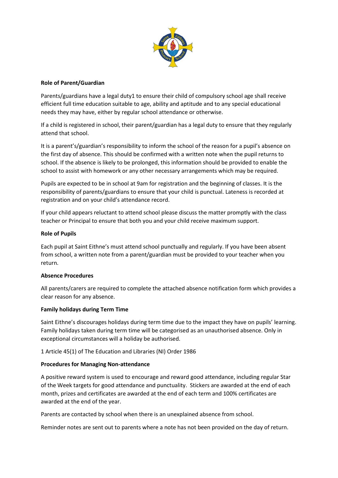

### **Role of Parent/Guardian**

Parents/guardians have a legal duty1 to ensure their child of compulsory school age shall receive efficient full time education suitable to age, ability and aptitude and to any special educational needs they may have, either by regular school attendance or otherwise.

If a child is registered in school, their parent/guardian has a legal duty to ensure that they regularly attend that school.

It is a parent's/guardian's responsibility to inform the school of the reason for a pupil's absence on the first day of absence. This should be confirmed with a written note when the pupil returns to school. If the absence is likely to be prolonged, this information should be provided to enable the school to assist with homework or any other necessary arrangements which may be required.

Pupils are expected to be in school at 9am for registration and the beginning of classes. It is the responsibility of parents/guardians to ensure that your child is punctual. Lateness is recorded at registration and on your child's attendance record.

If your child appears reluctant to attend school please discuss the matter promptly with the class teacher or Principal to ensure that both you and your child receive maximum support.

## **Role of Pupils**

Each pupil at Saint Eithne's must attend school punctually and regularly. If you have been absent from school, a written note from a parent/guardian must be provided to your teacher when you return.

#### **Absence Procedures**

All parents/carers are required to complete the attached absence notification form which provides a clear reason for any absence.

#### **Family holidays during Term Time**

Saint Eithne's discourages holidays during term time due to the impact they have on pupils' learning. Family holidays taken during term time will be categorised as an unauthorised absence. Only in exceptional circumstances will a holiday be authorised.

1 Article 45(1) of The Education and Libraries (NI) Order 1986

#### **Procedures for Managing Non-attendance**

A positive reward system is used to encourage and reward good attendance, including regular Star of the Week targets for good attendance and punctuality. Stickers are awarded at the end of each month, prizes and certificates are awarded at the end of each term and 100% certificates are awarded at the end of the year.

Parents are contacted by school when there is an unexplained absence from school.

Reminder notes are sent out to parents where a note has not been provided on the day of return.